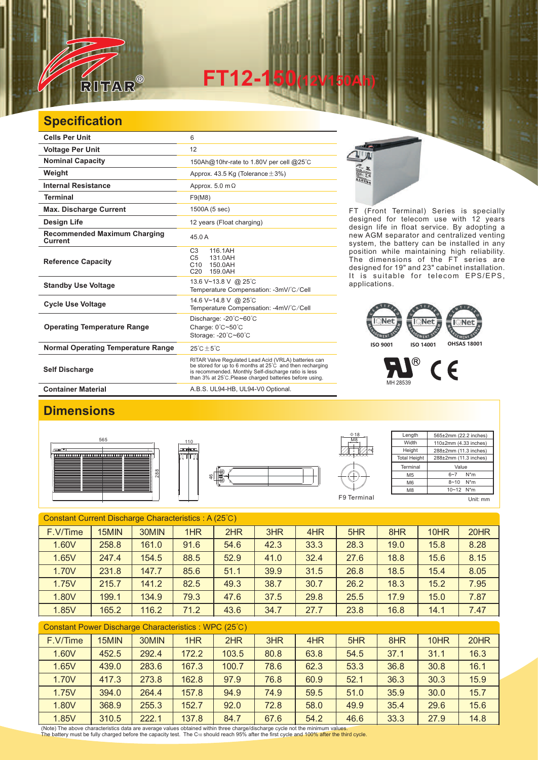

**FT12-150(12V150Ah)** 

## **Specification**

| <b>Cells Per Unit</b>                          | 6                                                                                                                                                                                                                                   |
|------------------------------------------------|-------------------------------------------------------------------------------------------------------------------------------------------------------------------------------------------------------------------------------------|
| <b>Voltage Per Unit</b>                        | 12                                                                                                                                                                                                                                  |
| <b>Nominal Capacity</b>                        | 150Ah@10hr-rate to 1.80V per cell @25°C                                                                                                                                                                                             |
| Weight                                         | Approx. 43.5 Kg (Tolerance $\pm$ 3%)                                                                                                                                                                                                |
| Internal Resistance                            | Approx. $5.0 \text{ m}\Omega$                                                                                                                                                                                                       |
| <b>Terminal</b>                                | F9(M8)                                                                                                                                                                                                                              |
| <b>Max. Discharge Current</b>                  | 1500A (5 sec)                                                                                                                                                                                                                       |
| <b>Design Life</b>                             | 12 years (Float charging)                                                                                                                                                                                                           |
| <b>Recommended Maximum Charging</b><br>Current | 45.0 A                                                                                                                                                                                                                              |
| <b>Reference Capacity</b>                      | C <sub>3</sub><br>116.1AH<br>C <sub>5</sub><br>131.0AH<br>C10 150.0AH<br>C <sub>20</sub><br>159.0AH                                                                                                                                 |
| <b>Standby Use Voltage</b>                     | 13.6 V~13.8 V @ 25°C<br>Temperature Compensation: -3mV/°C/Cell                                                                                                                                                                      |
| <b>Cycle Use Voltage</b>                       | 14.6 V~14.8 V @ 25°C<br>Temperature Compensation: -4mV/°C/Cell                                                                                                                                                                      |
| <b>Operating Temperature Range</b>             | Discharge: -20°C~60°C<br>Charge: 0°C~50°C<br>Storage: -20°C~60°C                                                                                                                                                                    |
| <b>Normal Operating Temperature Range</b>      | $25^{\circ}$ C + 5 $^{\circ}$ C                                                                                                                                                                                                     |
| <b>Self Discharge</b>                          | RITAR Valve Regulated Lead Acid (VRLA) batteries can<br>be stored for up to 6 months at 25°C and then recharging<br>is recommended. Monthly Self-discharge ratio is less<br>than 3% at 25°C. Please charged batteries before using. |
| <b>Container Material</b>                      | A.B.S. UL94-HB, UL94-V0 Optional.                                                                                                                                                                                                   |



FT (Front Terminal) Series is specially designed for telecom use with 12 years design life in float service. By adopting a new AGM separator and centralized venting system, the battery can be installed in any position while maintaining high reliability. The dimensions of the FT series are designed for 19" and 23" cabinet installation. It is suitable for telecom EPS/EPS, applications.

## **AFC NT** THEFT ENENT **ISO 9001 ISO 14001 OHSAS 18001**

 $\circledR$  $\epsilon$ MH 28539

## **Dimensions**







| $\Phi$ 18            | Length              | 565±2mm (22.2 inches)      |  |  |
|----------------------|---------------------|----------------------------|--|--|
| M <sub>8</sub>       | Width               | $110\pm2$ mm (4.33 inches) |  |  |
|                      | Height              | 288±2mm (11.3 inches)      |  |  |
| <del>XXXXXXXXX</del> | <b>Total Height</b> | 288±2mm (11.3 inches)      |  |  |
|                      | Terminal            | Value                      |  |  |
|                      | M <sub>5</sub>      | $N^*m$<br>$6 - 7$          |  |  |
|                      | M <sub>6</sub>      | $N^*m$<br>$8 - 10$         |  |  |
|                      | M <sub>8</sub>      | 10~12 N*m                  |  |  |
| F9 Terminal          |                     | Unit: mm                   |  |  |

| Constant Current Discharge Characteristics: A (25°C) |       |       |      |      |      |      |      |      |      |      |
|------------------------------------------------------|-------|-------|------|------|------|------|------|------|------|------|
| F.V/Time                                             | 15MIN | 30MIN | 1HR  | 2HR  | 3HR  | 4HR  | 5HR  | 8HR  | 10HR | 20HR |
| 1.60V                                                | 258.8 | 161.0 | 91.6 | 54.6 | 42.3 | 33.3 | 28.3 | 19.0 | 15.8 | 8.28 |
| 1.65V                                                | 247.4 | 154.5 | 88.5 | 52.9 | 41.0 | 32.4 | 27.6 | 18.8 | 15.6 | 8.15 |
| 1.70V                                                | 231.8 | 147.7 | 85.6 | 51.1 | 39.9 | 31.5 | 26.8 | 18.5 | 15.4 | 8.05 |
| 1.75V                                                | 215.7 | 141.2 | 82.5 | 49.3 | 38.7 | 30.7 | 26.2 | 18.3 | 15.2 | 7.95 |
| 1.80V                                                | 199.1 | 134.9 | 79.3 | 47.6 | 37.5 | 29.8 | 25.5 | 17.9 | 15.0 | 7.87 |
| 1.85V                                                | 165.2 | 116.2 | 71.2 | 43.6 | 34.7 | 27.7 | 23.8 | 16.8 | 14.1 | 7.47 |

| Constant Power Discharge Characteristics : WPC (25°C)                                                                                                                                                                                                                                                              |  |  |  |  |  |  |  |  |
|--------------------------------------------------------------------------------------------------------------------------------------------------------------------------------------------------------------------------------------------------------------------------------------------------------------------|--|--|--|--|--|--|--|--|
| $\sqrt{2}$ $\sqrt{2}$ $\sqrt{2}$ $\sqrt{2}$ $\sqrt{2}$ $\sqrt{2}$ $\sqrt{2}$ $\sqrt{2}$ $\sqrt{2}$ $\sqrt{2}$ $\sqrt{2}$ $\sqrt{2}$ $\sqrt{2}$ $\sqrt{2}$ $\sqrt{2}$ $\sqrt{2}$ $\sqrt{2}$ $\sqrt{2}$ $\sqrt{2}$ $\sqrt{2}$ $\sqrt{2}$ $\sqrt{2}$ $\sqrt{2}$ $\sqrt{2}$ $\sqrt{2}$ $\sqrt{2}$ $\sqrt{2}$ $\sqrt{2$ |  |  |  |  |  |  |  |  |

| F.V/Time | 15MIN | 30MIN | 1HR   | 2HR   | 3HR  | 4HR  | 5HR  | 8HR  | 10HR | 20HR |
|----------|-------|-------|-------|-------|------|------|------|------|------|------|
| 1.60V    | 452.5 | 292.4 | 172.2 | 103.5 | 80.8 | 63.8 | 54.5 | 37.1 | 31.1 | 16.3 |
| 1.65V    | 439.0 | 283.6 | 167.3 | 100.7 | 78.6 | 62.3 | 53.3 | 36.8 | 30.8 | 16.1 |
| 1.70V    | 417.3 | 273.8 | 162.8 | 97.9  | 76.8 | 60.9 | 52.1 | 36.3 | 30.3 | 15.9 |
| 1.75V    | 394.0 | 264.4 | 157.8 | 94.9  | 74.9 | 59.5 | 51.0 | 35.9 | 30.0 | 15.7 |
| 1.80V    | 368.9 | 255.3 | 152.7 | 92.0  | 72.8 | 58.0 | 49.9 | 35.4 | 29.6 | 15.6 |
| 1.85V    | 310.5 | 222.1 | 137.8 | 84.7  | 67.6 | 54.2 | 46.6 | 33.3 | 27.9 | 14.8 |

(Note) The above characteristics data are average values obtained within three charge/discharge cycle not the minimum values.<br>The battery must be fully charged before the capacity test. The Cю should reach 95% after the f